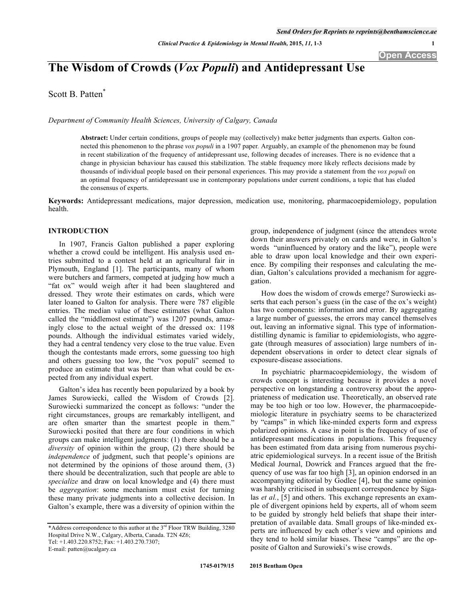# **The Wisdom of Crowds (***Vox Populi***) and Antidepressant Use**

Scott B. Patten\*

*Department of Community Health Sciences, University of Calgary, Canada* 

**Abstract:** Under certain conditions, groups of people may (collectively) make better judgments than experts. Galton connected this phenomenon to the phrase *vox populi* in a 1907 paper*.* Arguably, an example of the phenomenon may be found in recent stabilization of the frequency of antidepressant use, following decades of increases. There is no evidence that a change in physician behaviour has caused this stabilization. The stable frequency more likely reflects decisions made by thousands of individual people based on their personal experiences. This may provide a statement from the *vox populi* on an optimal frequency of antidepressant use in contemporary populations under current conditions, a topic that has eluded the consensus of experts.

**Keywords:** Antidepressant medications, major depression, medication use, monitoring, pharmacoepidemiology, population health.

### **INTRODUCTION**

In 1907, Francis Galton published a paper exploring whether a crowd could be intelligent. His analysis used entries submitted to a contest held at an agricultural fair in Plymouth, England [1]. The participants, many of whom were butchers and farmers, competed at judging how much a "fat ox" would weigh after it had been slaughtered and dressed. They wrote their estimates on cards, which were later loaned to Galton for analysis. There were 787 eligible entries. The median value of these estimates (what Galton called the "middlemost estimate") was 1207 pounds, amazingly close to the actual weight of the dressed ox: 1198 pounds. Although the individual estimates varied widely, they had a central tendency very close to the true value. Even though the contestants made errors, some guessing too high and others guessing too low, the "vox populi" seemed to produce an estimate that was better than what could be expected from any individual expert.

Galton's idea has recently been popularized by a book by James Surowiecki, called the Wisdom of Crowds [2]. Surowiecki summarized the concept as follows: "under the right circumstances, groups are remarkably intelligent, and are often smarter than the smartest people in them." Surowiecki posited that there are four conditions in which groups can make intelligent judgments: (1) there should be a *diversity* of opinion within the group, (2) there should be *independence* of judgment, such that people's opinions are not determined by the opinions of those around them, (3) there should be decentralization, such that people are able to *specialize* and draw on local knowledge and (4) there must be *aggregation*: some mechanism must exist for turning these many private judgments into a collective decision. In Galton's example, there was a diversity of opinion within the

E-mail: patten@ucalgary.ca

group, independence of judgment (since the attendees wrote down their answers privately on cards and were, in Galton's words "uninfluenced by oratory and the like"), people were able to draw upon local knowledge and their own experience. By compiling their responses and calculating the median, Galton's calculations provided a mechanism for aggregation.

How does the wisdom of crowds emerge? Surowiecki asserts that each person's guess (in the case of the ox's weight) has two components: information and error. By aggregating a large number of guesses, the errors may cancel themselves out, leaving an informative signal. This type of informationdistilling dynamic is familiar to epidemiologists, who aggregate (through measures of association) large numbers of independent observations in order to detect clear signals of exposure-disease associations.

In psychiatric pharmacoepidemiology, the wisdom of crowds concept is interesting because it provides a novel perspective on longstanding a controversy about the appropriateness of medication use. Theoretically, an observed rate may be too high or too low. However, the pharmacoepidemiologic literature in psychiatry seems to be characterized by "camps" in which like-minded experts form and express polarized opinions. A case in point is the frequency of use of antidepressant medications in populations. This frequency has been estimated from data arising from numerous psychiatric epidemiological surveys. In a recent issue of the British Medical Journal, Dowrick and Frances argued that the frequency of use was far too high [3], an opinion endorsed in an accompanying editorial by Godlee [4], but the same opinion was harshly criticised in subsequent correspondence by Sigalas *et al.*, [5] and others. This exchange represents an example of divergent opinions held by experts, all of whom seem to be guided by strongly held beliefs that shape their interpretation of available data. Small groups of like-minded experts are influenced by each other's view and opinions and they tend to hold similar biases. These "camps" are the opposite of Galton and Surowieki's wise crowds.

<sup>\*</sup>Address correspondence to this author at the  $3<sup>rd</sup>$  Floor TRW Building, 3280 Hospital Drive N.W., Calgary, Alberta, Canada. T2N 4Z6; Tel: +1.403.220.8752; Fax: +1.403.270.7307;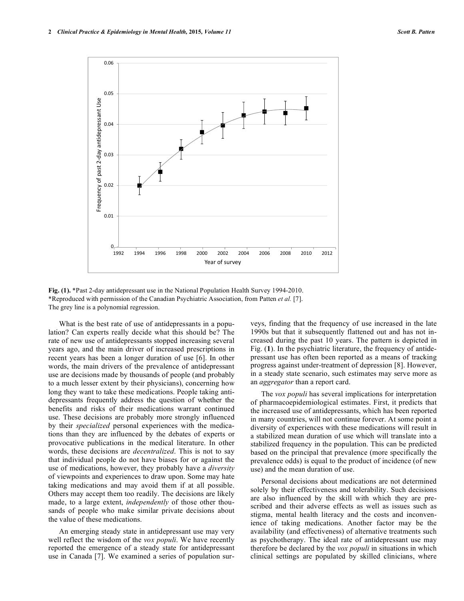

**Fig. (1).** \*Past 2-day antidepressant use in the National Population Health Survey 1994-2010. \*Reproduced with permission of the Canadian Psychiatric Association, from Patten *et al.* [7]. The grey line is a polynomial regression.

What is the best rate of use of antidepressants in a population? Can experts really decide what this should be? The rate of new use of antidepressants stopped increasing several years ago, and the main driver of increased prescriptions in recent years has been a longer duration of use [6]. In other words, the main drivers of the prevalence of antidepressant use are decisions made by thousands of people (and probably to a much lesser extent by their physicians), concerning how long they want to take these medications. People taking antidepressants frequently address the question of whether the benefits and risks of their medications warrant continued use. These decisions are probably more strongly influenced by their *specialized* personal experiences with the medications than they are influenced by the debates of experts or provocative publications in the medical literature. In other words, these decisions are *decentralized*. This is not to say that individual people do not have biases for or against the use of medications, however, they probably have a *diversity* of viewpoints and experiences to draw upon. Some may hate taking medications and may avoid them if at all possible. Others may accept them too readily. The decisions are likely made, to a large extent, *independently* of those other thousands of people who make similar private decisions about the value of these medications.

An emerging steady state in antidepressant use may very well reflect the wisdom of the *vox populi*. We have recently reported the emergence of a steady state for antidepressant use in Canada [7]. We examined a series of population surveys, finding that the frequency of use increased in the late 1990s but that it subsequently flattened out and has not increased during the past 10 years. The pattern is depicted in Fig. (**1**). In the psychiatric literature, the frequency of antidepressant use has often been reported as a means of tracking progress against under-treatment of depression [8]. However, in a steady state scenario, such estimates may serve more as an *aggregator* than a report card.

The *vox populi* has several implications for interpretation of pharmacoepidemiological estimates. First, it predicts that the increased use of antidepressants, which has been reported in many countries, will not continue forever. At some point a diversity of experiences with these medications will result in a stabilized mean duration of use which will translate into a stabilized frequency in the population. This can be predicted based on the principal that prevalence (more specifically the prevalence odds) is equal to the product of incidence (of new use) and the mean duration of use.

Personal decisions about medications are not determined solely by their effectiveness and tolerability. Such decisions are also influenced by the skill with which they are prescribed and their adverse effects as well as issues such as stigma, mental health literacy and the costs and inconvenience of taking medications. Another factor may be the availability (and effectiveness) of alternative treatments such as psychotherapy. The ideal rate of antidepressant use may therefore be declared by the *vox populi* in situations in which clinical settings are populated by skilled clinicians, where